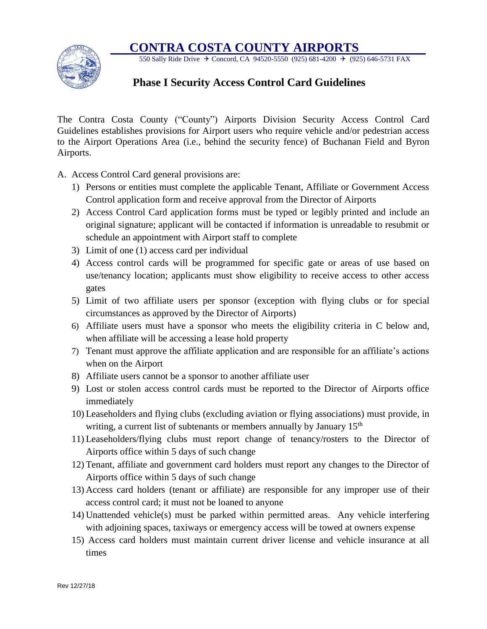## **CONTRA COSTA COUNTY AIRPORTS**



550 Sally Ride Drive  $\div$  Concord, CA 94520-5550 (925) 681-4200  $\div$  (925) 646-5731 FAX

## **Phase I Security Access Control Card Guidelines**

The Contra Costa County ("County") Airports Division Security Access Control Card Guidelines establishes provisions for Airport users who require vehicle and/or pedestrian access to the Airport Operations Area (i.e., behind the security fence) of Buchanan Field and Byron Airports.

- A. Access Control Card general provisions are:
	- 1) Persons or entities must complete the applicable Tenant, Affiliate or Government Access Control application form and receive approval from the Director of Airports
	- 2) Access Control Card application forms must be typed or legibly printed and include an original signature; applicant will be contacted if information is unreadable to resubmit or schedule an appointment with Airport staff to complete
	- 3) Limit of one (1) access card per individual
	- 4) Access control cards will be programmed for specific gate or areas of use based on use/tenancy location; applicants must show eligibility to receive access to other access gates
	- 5) Limit of two affiliate users per sponsor (exception with flying clubs or for special circumstances as approved by the Director of Airports)
	- 6) Affiliate users must have a sponsor who meets the eligibility criteria in C below and, when affiliate will be accessing a lease hold property
	- 7) Tenant must approve the affiliate application and are responsible for an affiliate's actions when on the Airport
	- 8) Affiliate users cannot be a sponsor to another affiliate user
	- 9) Lost or stolen access control cards must be reported to the Director of Airports office immediately
	- 10) Leaseholders and flying clubs (excluding aviation or flying associations) must provide, in writing, a current list of subtenants or members annually by January 15<sup>th</sup>
	- 11) Leaseholders/flying clubs must report change of tenancy/rosters to the Director of Airports office within 5 days of such change
	- 12) Tenant, affiliate and government card holders must report any changes to the Director of Airports office within 5 days of such change
	- 13) Access card holders (tenant or affiliate) are responsible for any improper use of their access control card; it must not be loaned to anyone
	- 14) Unattended vehicle(s) must be parked within permitted areas. Any vehicle interfering with adjoining spaces, taxiways or emergency access will be towed at owners expense
	- 15) Access card holders must maintain current driver license and vehicle insurance at all times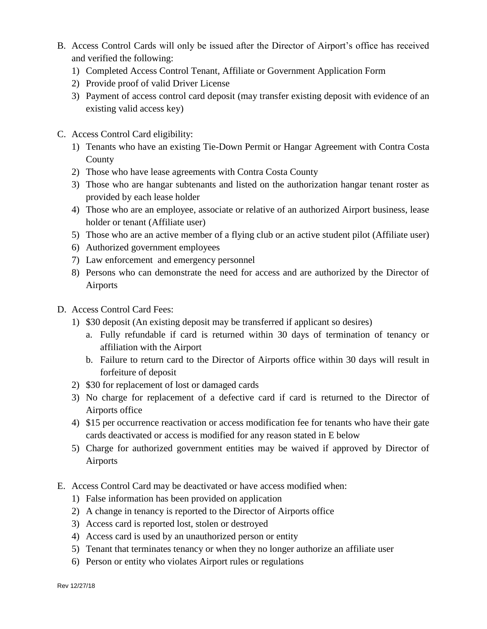- B. Access Control Cards will only be issued after the Director of Airport's office has received and verified the following:
	- 1) Completed Access Control Tenant, Affiliate or Government Application Form
	- 2) Provide proof of valid Driver License
	- 3) Payment of access control card deposit (may transfer existing deposit with evidence of an existing valid access key)
- C. Access Control Card eligibility:
	- 1) Tenants who have an existing Tie-Down Permit or Hangar Agreement with Contra Costa County
	- 2) Those who have lease agreements with Contra Costa County
	- 3) Those who are hangar subtenants and listed on the authorization hangar tenant roster as provided by each lease holder
	- 4) Those who are an employee, associate or relative of an authorized Airport business, lease holder or tenant (Affiliate user)
	- 5) Those who are an active member of a flying club or an active student pilot (Affiliate user)
	- 6) Authorized government employees
	- 7) Law enforcement and emergency personnel
	- 8) Persons who can demonstrate the need for access and are authorized by the Director of Airports
- D. Access Control Card Fees:
	- 1) \$30 deposit (An existing deposit may be transferred if applicant so desires)
		- a. Fully refundable if card is returned within 30 days of termination of tenancy or affiliation with the Airport
		- b. Failure to return card to the Director of Airports office within 30 days will result in forfeiture of deposit
	- 2) \$30 for replacement of lost or damaged cards
	- 3) No charge for replacement of a defective card if card is returned to the Director of Airports office
	- 4) \$15 per occurrence reactivation or access modification fee for tenants who have their gate cards deactivated or access is modified for any reason stated in E below
	- 5) Charge for authorized government entities may be waived if approved by Director of Airports
- E. Access Control Card may be deactivated or have access modified when:
	- 1) False information has been provided on application
	- 2) A change in tenancy is reported to the Director of Airports office
	- 3) Access card is reported lost, stolen or destroyed
	- 4) Access card is used by an unauthorized person or entity
	- 5) Tenant that terminates tenancy or when they no longer authorize an affiliate user
	- 6) Person or entity who violates Airport rules or regulations